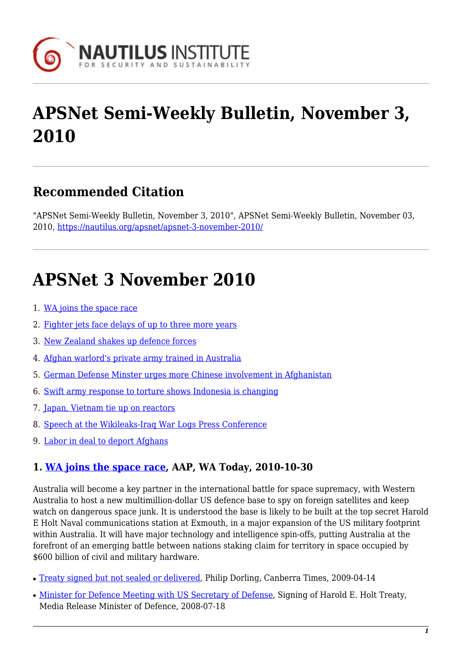

# **APSNet Semi-Weekly Bulletin, November 3, 2010**

### **Recommended Citation**

"APSNet Semi-Weekly Bulletin, November 3, 2010", APSNet Semi-Weekly Bulletin, November 03, 2010, <https://nautilus.org/apsnet/apsnet-3-november-2010/>

## **APSNet 3 November 2010**

- 1. [WA joins the space race](#page-0-0)
- 2. [Fighter jets face delays of up to three more years](#page-1-0)
- 3. [New Zealand shakes up defence forces](#page-1-1)
- 4. [Afghan warlord's private army trained in Australia](#page-1-2)
- 5. [German Defense Minster urges more Chinese involvement in Afghanistan](#page-1-3)
- 6. [Swift army response to torture shows Indonesia is changing](#page-2-0)
- 7. [Japan, Vietnam tie up on reactors](#page-2-1)
- 8. [Speech at the Wikileaks-Iraq War Logs Press Conference](#page-2-2)
- 9. [Labor in deal to deport Afghans](#page-2-3)

#### <span id="page-0-0"></span>**1. [WA joins the space race,](http://www.watoday.com.au/wa-news/wa-joins-the-space-race-20101030-177vy.html) AAP, WA Today, 2010-10-30**

Australia will become a key partner in the international battle for space supremacy, with Western Australia to host a new multimillion-dollar US defence base to spy on foreign satellites and keep watch on dangerous space junk. It is understood the base is likely to be built at the top secret Harold E Holt Naval communications station at Exmouth, in a major expansion of the US military footprint within Australia. It will have major technology and intelligence spin-offs, putting Australia at the forefront of an emerging battle between nations staking claim for territory in space occupied by \$600 billion of civil and military hardware.

- [Treaty signed but not sealed or delivered](http://www.canberratimes.com.au/news/national/national/general/treaty-signed-but-not-sealed-or-delivered/1485469.aspx?storypage=0#), Philip Dorling, Canberra Times, 2009-04-14
- [Minister for Defence Meeting with US Secretary of Defense,](http://www.minister.defence.gov.au/Fitzgibbontpl.cfm?CurrentId=8000) Signing of Harold E. Holt Treaty, Media Release Minister of Defence, 2008-07-18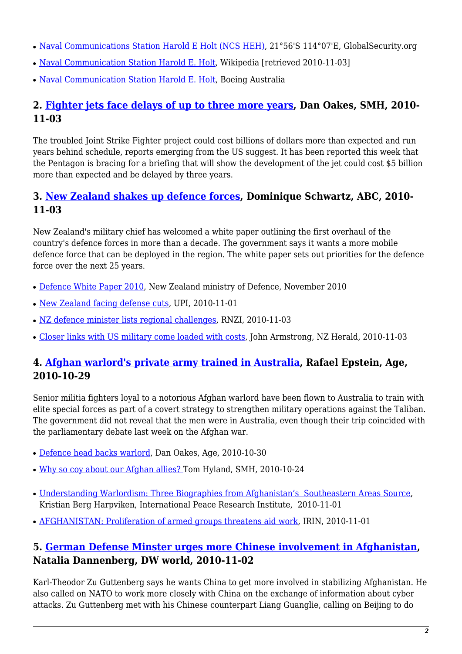- [Naval Communications Station Harold E Holt \(NCS HEH\)](http://www.globalsecurity.org/military/facility/exmouth.htm), 21°56'S 114°07'E, GlobalSecurity.org
- [Naval Communication Station Harold E. Holt,](http://en.wikipedia.org/wiki/Naval_Communication_Station_Harold_E._Holt) Wikipedia [retrieved 2010-11-03]
- [Naval Communication Station Harold E. Holt,](http://www.boeing.com.au/Redirect.do?Keyword=HEH) Boeing Australia

#### <span id="page-1-0"></span>**2. [Fighter jets face delays of up to three more years](http://www.smh.com.au/national/fighter-jets-face-delays-of-three-more-years-20101102-17cdv.html), Dan Oakes, SMH, 2010- 11-03**

The troubled Joint Strike Fighter project could cost billions of dollars more than expected and run years behind schedule, reports emerging from the US suggest. It has been reported this week that the Pentagon is bracing for a briefing that will show the development of the jet could cost \$5 billion more than expected and be delayed by three years.

#### <span id="page-1-1"></span>**3. [New Zealand shakes up defence forces,](http://www.radioaustralianews.net.au/stories/201011/3055401.htm?desktop) Dominique Schwartz, ABC, 2010- 11-03**

New Zealand's military chief has welcomed a white paper outlining the first overhaul of the country's defence forces in more than a decade. The government says it wants a more mobile defence force that can be deployed in the region. The white paper sets out priorities for the defence force over the next 25 years.

- [Defence White Paper 2010](http://www.defence.govt.nz/defence-review.html), New Zealand ministry of Defence, November 2010
- [New Zealand facing defense cuts,](http://www.upi.com/Business_News/Security-Industry/2010/11/01/New-Zealand-facing-defense-cuts/UPI-38711288644691/) UPI, 2010-11-01
- [NZ defence minister lists regional challenges,](http://www.rnzi.com/pages/news.php?op=read&id=56783) RNZI, 2010-11-03
- [Closer links with US military come loaded with costs](http://www.nzherald.co.nz/john-armstrong-on-politics/news/article.cfm?c_id=1502865&objectid=10684964), John Armstrong, NZ Herald, 2010-11-03

#### <span id="page-1-2"></span>**4. [Afghan warlord's private army trained in Australia](http://www.smh.com.au/world/afghan-warlords-private-army-trained-in-australia-20101028-175sg.html), Rafael Epstein, Age, 2010-10-29**

Senior militia fighters loyal to a notorious Afghan warlord have been flown to Australia to train with elite special forces as part of a covert strategy to strengthen military operations against the Taliban. The government did not reveal that the men were in Australia, even though their trip coincided with the parliamentary debate last week on the Afghan war.

- [Defence head backs warlord,](http://www.theage.com.au/national/defence-head-backs-warlord-20101029-177hk.html) Dan Oakes, Age, 2010-10-30
- [Why so coy about our Afghan allies?](http://www.smh.com.au/opinion/politics/why-so-coy-about-our-afghan-allies-20101023-16yj8.html) Tom Hyland, SMH, 2010-10-24
- [Understanding Warlordism: Three Biographies from Afghanistan's Southeastern Areas Source](http://www.prio.no/Research-and-Publications/Publication/?oid=61303515), Kristian Berg Harpviken, International Peace Research Institute, 2010-11-01
- [AFGHANISTAN: Proliferation of armed groups threatens aid work](http://www.irinnews.org/Report.aspx?ReportID=90939), IRIN, 2010-11-01

#### <span id="page-1-3"></span>**5. [German Defense Minster urges more Chinese involvement in Afghanistan,](http://www.dw-world.de/dw/article/0,,6181240,00.html) Natalia Dannenberg, DW world, 2010-11-02**

Karl-Theodor Zu Guttenberg says he wants China to get more involved in stabilizing Afghanistan. He also called on NATO to work more closely with China on the exchange of information about cyber attacks. Zu Guttenberg met with his Chinese counterpart Liang Guanglie, calling on Beijing to do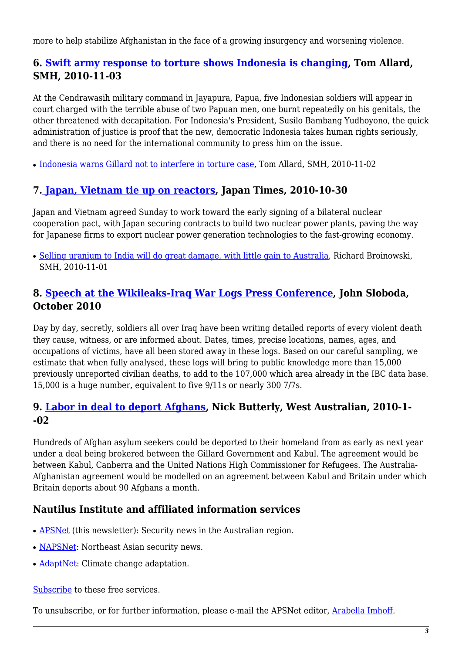more to help stabilize Afghanistan in the face of a growing insurgency and worsening violence.

#### <span id="page-2-0"></span>**6. [Swift army response to torture shows Indonesia is changing](http://www.smh.com.au/world/swift-army-response-to-torture-shows-indonesia-is-changing-20101102-17cd9.html), Tom Allard, SMH, 2010-11-03**

At the Cendrawasih military command in Jayapura, Papua, five Indonesian soldiers will appear in court charged with the terrible abuse of two Papuan men, one burnt repeatedly on his genitals, the other threatened with decapitation. For Indonesia's President, Susilo Bambang Yudhoyono, the quick administration of justice is proof that the new, democratic Indonesia takes human rights seriously, and there is no need for the international community to press him on the issue.

• [Indonesia warns Gillard not to interfere in torture case,](http://www.smh.com.au/world/indonesia-warns-gillard-not-to-interfere-in-torture-case-20101101-17ahg.html) Tom Allard, SMH, 2010-11-02

#### <span id="page-2-1"></span>**7. [Japan, Vietnam tie up on reactors,](http://search.japantimes.co.jp/cgi-bin/nn20101031x1.html) Japan Times, 2010-10-30**

Japan and Vietnam agreed Sunday to work toward the early signing of a bilateral nuclear cooperation pact, with Japan securing contracts to build two nuclear power plants, paving the way for Japanese firms to export nuclear power generation technologies to the fast-growing economy.

• [Selling uranium to India will do great damage, with little gain to Australia,](http://www.smh.com.au/business/selling-uranium-to-india-will-do-great-damage-with-little-gain-to-australia-20101031-178uk.html) Richard Broinowski, SMH, 2010-11-01

#### <span id="page-2-2"></span>**8. [Speech at the Wikileaks-Iraq War Logs Press Conference](http://www.oxfordresearchgroup.org.uk/publications/reports/john_slobodas_speech_wikileaks_press_conference_about_iraq_war_logs), John Sloboda, October 2010**

Day by day, secretly, soldiers all over Iraq have been writing detailed reports of every violent death they cause, witness, or are informed about. Dates, times, precise locations, names, ages, and occupations of victims, have all been stored away in these logs. Based on our careful sampling, we estimate that when fully analysed, these logs will bring to public knowledge more than 15,000 previously unreported civilian deaths, to add to the 107,000 which area already in the IBC data base. 15,000 is a huge number, equivalent to five 9/11s or nearly 300 7/7s.

#### <span id="page-2-3"></span>**9. [Labor in deal to deport Afghans](http://au.news.yahoo.com/thewest/a/-/newshome/8240024/labor-in-deal-to-deport-afghans/), Nick Butterly, West Australian, 2010-1- -02**

Hundreds of Afghan asylum seekers could be deported to their homeland from as early as next year under a deal being brokered between the Gillard Government and Kabul. The agreement would be between Kabul, Canberra and the United Nations High Commissioner for Refugees. The Australia-Afghanistan agreement would be modelled on an agreement between Kabul and Britain under which Britain deports about 90 Afghans a month.

#### **Nautilus Institute and affiliated information services**

- **APSNet** (this newsletter): Security news in the Australian region.
- [NAPSNet](http://nautilus.org/napsnet): Northeast Asian security news.
- [AdaptNet:](http://nautilus.org/adaptnet) Climate change adaptation.

[Subscribe](https://nautilus.org/mailing-lists/sign-up-for-mailing-lists/sign-up-for-mailing-lists) to these free services.

To unsubscribe, or for further information, please e-mail the APSNet editor, [Arabella Imhoff](mailto:austral@rmit.edu.au).